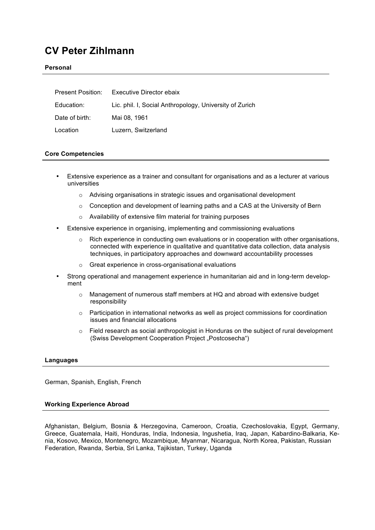# **CV Peter Zihlmann**

#### **Personal**

|                | Present Position: Executive Director ebaix              |
|----------------|---------------------------------------------------------|
| Education:     | Lic. phil. I, Social Anthropology, University of Zurich |
| Date of birth: | Mai 08. 1961                                            |
| Location       | Luzern, Switzerland                                     |

# **Core Competencies**

- Extensive experience as a trainer and consultant for organisations and as a lecturer at various universities
	- o Advising organisations in strategic issues and organisational development
	- $\circ$  Conception and development of learning paths and a CAS at the University of Bern
	- o Availability of extensive film material for training purposes
- Extensive experience in organising, implementing and commissioning evaluations
	- $\circ$  Rich experience in conducting own evaluations or in cooperation with other organisations, connected with experience in qualitative and quantitative data collection, data analysis techniques, in participatory approaches and downward accountability processes
	- o Great experience in cross-organisational evaluations
- Strong operational and management experience in humanitarian aid and in long-term development
	- $\circ$  Management of numerous staff members at HQ and abroad with extensive budget responsibility
	- $\circ$  Participation in international networks as well as project commissions for coordination issues and financial allocations
	- o Field research as social anthropologist in Honduras on the subject of rural development (Swiss Development Cooperation Project "Postcosecha")

#### **Languages**

German, Spanish, English, French

#### **Working Experience Abroad**

Afghanistan, Belgium, Bosnia & Herzegovina, Cameroon, Croatia, Czechoslovakia, Egypt, Germany, Greece, Guatemala, Haiti, Honduras, India, Indonesia, Ingushetia, Iraq, Japan, Kabardino-Balkaria, Kenia, Kosovo, Mexico, Montenegro, Mozambique, Myanmar, Nicaragua, North Korea, Pakistan, Russian Federation, Rwanda, Serbia, Sri Lanka, Tajikistan, Turkey, Uganda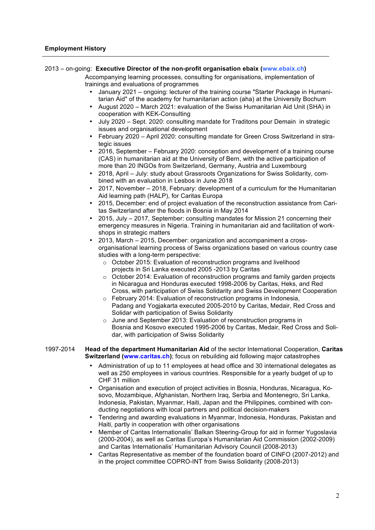# 2013 – on-going: **Executive Director of the non-profit organisation ebaix (www.ebaix.ch)**

Accompanying learning processes, consulting for organisations, implementation of trainings and evaluations of programmes

- January 2021 ongoing: lecturer of the training course "Starter Package in Humanitarian Aid" of the academy for humanitarian action (aha) at the University Bochum
- August 2020 March 2021: evaluation of the Swiss Humanitarian Aid Unit (SHA) in cooperation with KEK-Consulting
- July 2020 Sept. 2020: consulting mandate for Traditons pour Demain in strategic issues and organisational development
- February 2020 April 2020: consulting mandate for Green Cross Switzerland in strategic issues
- 2016, September February 2020: conception and development of a training course (CAS) in humanitarian aid at the University of Bern, with the active participation of more than 20 INGOs from Switzerland, Germany, Austria and Luxembourg
- 2018, April July: study about Grassroots Organizations for Swiss Solidarity, combined with an evaluation in Lesbos in June 2018
- 2017, November 2018, February: development of a curriculum for the Humanitarian Aid learning path (HALP), for Caritas Europa
- 2015, December: end of project evaluation of the reconstruction assistance from Caritas Switzerland after the floods in Bosnia in May 2014
- 2015, July 2017, September: consulting mandates for Mission 21 concerning their emergency measures in Nigeria. Training in humanitarian aid and facilitation of workshops in strategic matters
- 2013, March 2015, December: organization and accompaniment a crossorganisational learning process of Swiss organizations based on various country case studies with a long-term perspective:
	- o October 2015: Evaluation of reconstruction programs and livelihood projects in Sri Lanka executed 2005 -2013 by Caritas
	- $\circ$  October 2014: Evaluation of reconstruction programs and family garden projects in Nicaragua and Honduras executed 1998-2006 by Caritas, Heks, and Red Cross, with participation of Swiss Solidarity and Swiss Development Cooperation
	- $\circ$  February 2014: Evaluation of reconstruction programs in Indonesia, Padang and Yogjakarta executed 2005-2010 by Caritas, Medair, Red Cross and Solidar with participation of Swiss Solidarity
	- o June and September 2013: Evaluation of reconstruction programs in Bosnia and Kosovo executed 1995-2006 by Caritas, Medair, Red Cross and Solidar, with participation of Swiss Solidarity

#### 1997-2014 **Head of the department Humanitarian Aid** of the sector International Cooperation, **Caritas Switzerland (www.caritas.ch)**; focus on rebuilding aid following major catastrophes

- Administration of up to 11 employees at head office and 30 international delegates as well as 250 employees in various countries. Responsible for a yearly budget of up to CHF 31 million
- Organisation and execution of project activities in Bosnia, Honduras, Nicaragua, Kosovo, Mozambique, Afghanistan, Northern Iraq, Serbia and Montenegro, Sri Lanka, Indonesia, Pakistan, Myanmar, Haiti, Japan and the Philippines, combined with conducting negotiations with local partners and political decision-makers
- Tendering and awarding evaluations in Myanmar, Indonesia, Honduras, Pakistan and Haiti, partly in cooperation with other organisations
- Member of Caritas Internationalis' Balkan Steering-Group for aid in former Yugoslavia (2000-2004), as well as Caritas Europa's Humanitarian Aid Commission (2002-2009) and Caritas Internationalis' Humanitarian Advisory Council (2008-2013)
- Caritas Representative as member of the foundation board of CINFO (2007-2012) and in the project committee COPRO-INT from Swiss Solidarity (2008-2013)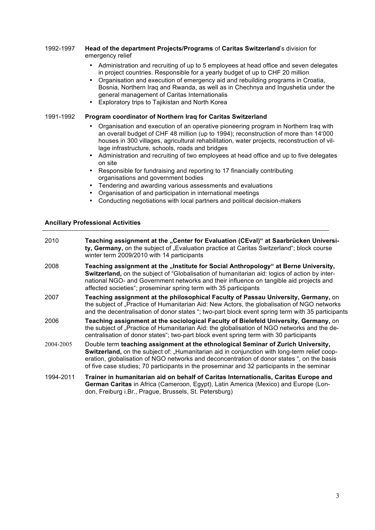#### 1992-1997 **Head of the department Projects/Programs** of **Caritas Switzerland**'s division for emergency relief

- Administration and recruiting of up to 5 employees at head office and seven delegates in project countries. Responsible for a yearly budget of up to CHF 20 million
- Organisation and execution of emergency aid and rebuilding programs in Croatia, Bosnia, Northern Iraq and Rwanda, as well as in Chechnya and Ingushetia under the general management of Caritas Internationalis
- Exploratory trips to Tajikistan and North Korea

# 1991-1992 **Program coordinator of Northern Iraq for Caritas Switzerland**

- Organisation and execution of an operative pioneering program in Northern Iraq with an overall budget of CHF 48 million (up to 1994); reconstruction of more than 14'000 houses in 300 villages, agricultural rehabilitation, water projects, reconstruction of village infrastructure, schools, roads and bridges
- Administration and recruiting of two employees at head office and up to five delegates on site
- Responsible for fundraising and reporting to 17 financially contributing organisations and government bodies
- Tendering and awarding various assessments and evaluations
- Organisation of and participation in international meetings
- Conducting negotiations with local partners and political decision-makers

# **Ancillary Professional Activities**

| 2010      | Teaching assignment at the "Center for Evaluation (CEval)" at Saarbrücken Universi-<br>ty, Germany, on the subject of "Evaluation practice at Caritas Switzerland"; block course<br>winter term 2009/2010 with 14 participants                                                                                                                                                |
|-----------|-------------------------------------------------------------------------------------------------------------------------------------------------------------------------------------------------------------------------------------------------------------------------------------------------------------------------------------------------------------------------------|
| 2008      | Teaching assignment at the "Institute for Social Anthropology" at Berne University,<br>Switzerland, on the subject of "Globalisation of humanitarian aid: logics of action by inter-<br>national NGO- and Government networks and their influence on tangible aid projects and<br>affected societies"; proseminar spring term with 35 participants                            |
| 2007      | Teaching assignment at the philosophical Faculty of Passau University, Germany, on<br>the subject of "Practice of Humanitarian Aid: New Actors, the globalisation of NGO networks<br>and the decentralisation of donor states "; two-part block event spring term with 35 participants                                                                                        |
| 2006      | Teaching assignment at the sociological Faculty of Bielefeld University, Germany, on<br>the subject of "Practice of Humanitarian Aid: the globalisation of NGO networks and the de-<br>centralisation of donor states"; two-part block event spring term with 30 participants                                                                                                 |
| 2004-2005 | Double term teaching assignment at the ethnological Seminar of Zurich University,<br>Switzerland, on the subject of: "Humanitarian aid in conjunction with long-term relief coop-<br>eration, globalisation of NGO networks and deconcentration of donor states ", on the basis<br>of five case studies; 70 participants in the proseminar and 32 participants in the seminar |
| 1994-2011 | Trainer in humanitarian aid on behalf of Caritas Internationalis, Caritas Europe and<br>German Caritas in Africa (Cameroon, Egypt), Latin America (Mexico) and Europe (Lon-<br>don, Freiburg i.Br., Prague, Brussels, St. Petersburg)                                                                                                                                         |